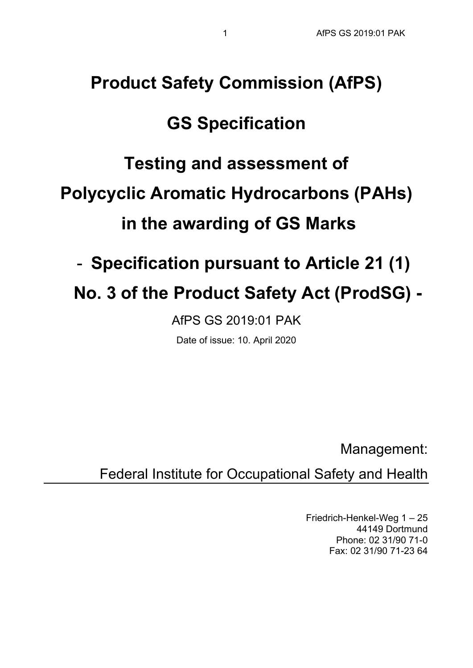### **Product Safety Commission (AfPS)**

## **GS Specification**

# **Testing and assessment of Polycyclic Aromatic Hydrocarbons (PAHs) in the awarding of GS Marks**

## - **Specification pursuant to Article 21 (1)**

## **No. 3 of the Product Safety Act (ProdSG) -**

AfPS GS 2019:01 PAK

Date of issue: 10. April 2020

Management:

Federal Institute for Occupational Safety and Health

Friedrich-Henkel-Weg 1 – 25 44149 Dortmund Phone: 02 31/90 71-0 Fax: 02 31/90 71-23 64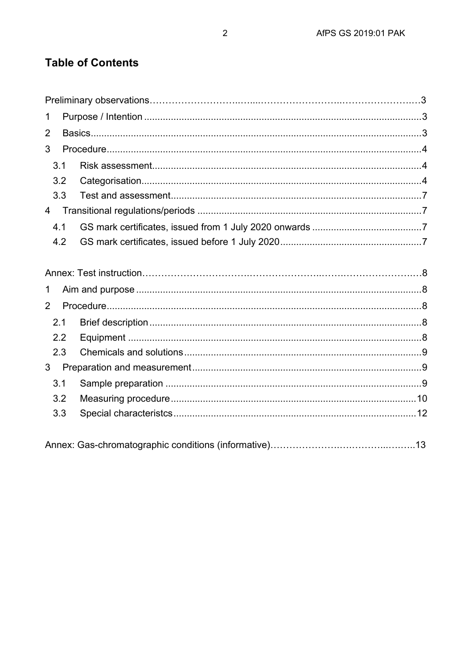### **Table of Contents**

| 1              |  |  |  |
|----------------|--|--|--|
| 2              |  |  |  |
| 3              |  |  |  |
| 3.1            |  |  |  |
| 3.2            |  |  |  |
| 3.3            |  |  |  |
| $\overline{4}$ |  |  |  |
| 4.1            |  |  |  |
| 4.2            |  |  |  |
|                |  |  |  |
|                |  |  |  |
| 1              |  |  |  |
| $\overline{2}$ |  |  |  |
| 2.1            |  |  |  |
| 2.2            |  |  |  |
| 2.3            |  |  |  |
| 3              |  |  |  |
| 3.1            |  |  |  |
| 3.2            |  |  |  |
| 3.3            |  |  |  |
|                |  |  |  |
|                |  |  |  |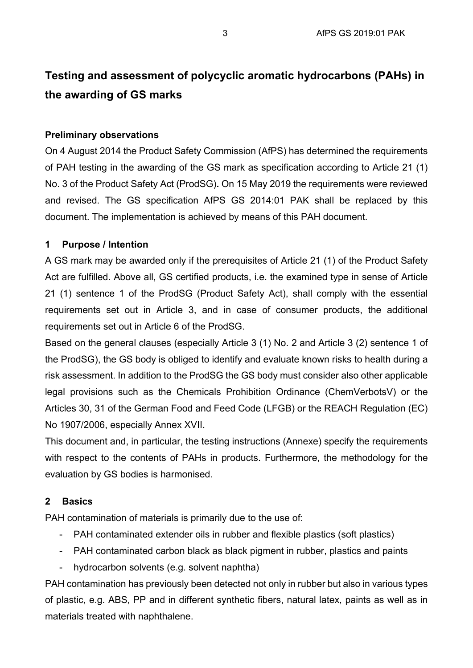### **Testing and assessment of polycyclic aromatic hydrocarbons (PAHs) in the awarding of GS marks**

#### **Preliminary observations**

On 4 August 2014 the Product Safety Commission (AfPS) has determined the requirements of PAH testing in the awarding of the GS mark as specification according to Article 21 (1) No. 3 of the Product Safety Act (ProdSG)**.** On 15 May 2019 the requirements were reviewed and revised. The GS specification AfPS GS 2014:01 PAK shall be replaced by this document. The implementation is achieved by means of this PAH document.

#### <span id="page-2-0"></span>**1 Purpose / Intention**

A GS mark may be awarded only if the prerequisites of Article 21 (1) of the Product Safety Act are fulfilled. Above all, GS certified products, i.e. the examined type in sense of Article 21 (1) sentence 1 of the ProdSG (Product Safety Act), shall comply with the essential requirements set out in Article 3, and in case of consumer products, the additional requirements set out in Article 6 of the ProdSG.

Based on the general clauses (especially Article 3 (1) No. 2 and Article 3 (2) sentence 1 of the ProdSG), the GS body is obliged to identify and evaluate known risks to health during a risk assessment. In addition to the ProdSG the GS body must consider also other applicable legal provisions such as the Chemicals Prohibition Ordinance (ChemVerbotsV) or the Articles 30, 31 of the German Food and Feed Code (LFGB) or the REACH Regulation (EC) No 1907/2006, especially Annex XVII.

This document and, in particular, the testing instructions (Annexe) specify the requirements with respect to the contents of PAHs in products. Furthermore, the methodology for the evaluation by GS bodies is harmonised.

#### <span id="page-2-1"></span>**2 Basics**

PAH contamination of materials is primarily due to the use of:

- PAH contaminated extender oils in rubber and flexible plastics (soft plastics)
- PAH contaminated carbon black as black pigment in rubber, plastics and paints
- hydrocarbon solvents (e.g. solvent naphtha)

PAH contamination has previously been detected not only in rubber but also in various types of plastic, e.g. ABS, PP and in different synthetic fibers, natural latex, paints as well as in materials treated with naphthalene.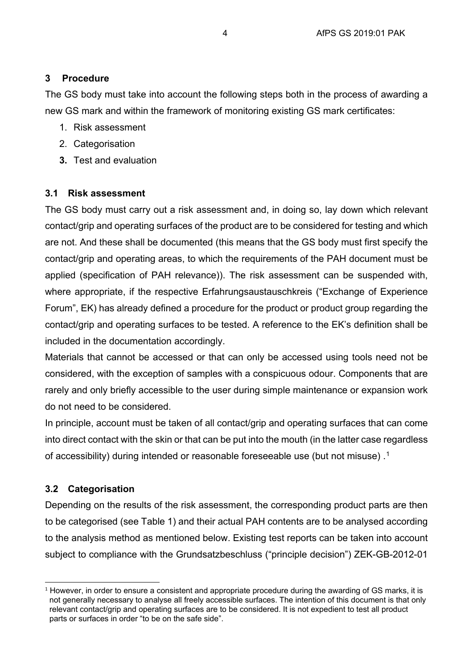#### <span id="page-3-0"></span>**3 Procedure**

The GS body must take into account the following steps both in the process of awarding a new GS mark and within the framework of monitoring existing GS mark certificates:

- 1. Risk assessment
- 2. Categorisation
- **3.** Test and evaluation

#### <span id="page-3-1"></span>**3.1 Risk assessment**

The GS body must carry out a risk assessment and, in doing so, lay down which relevant contact/grip and operating surfaces of the product are to be considered for testing and which are not. And these shall be documented (this means that the GS body must first specify the contact/grip and operating areas, to which the requirements of the PAH document must be applied (specification of PAH relevance)). The risk assessment can be suspended with, where appropriate, if the respective Erfahrungsaustauschkreis ("Exchange of Experience Forum", EK) has already defined a procedure for the product or product group regarding the contact/grip and operating surfaces to be tested. A reference to the EK's definition shall be included in the documentation accordingly.

Materials that cannot be accessed or that can only be accessed using tools need not be considered, with the exception of samples with a conspicuous odour. Components that are rarely and only briefly accessible to the user during simple maintenance or expansion work do not need to be considered.

In principle, account must be taken of all contact/grip and operating surfaces that can come into direct contact with the skin or that can be put into the mouth (in the latter case regardless of accessibility) during intended or reasonable foreseeable use (but not misuse) . $^{\mathsf{1}}$  $^{\mathsf{1}}$  $^{\mathsf{1}}$ 

#### <span id="page-3-2"></span>**3.2 Categorisation**

-

Depending on the results of the risk assessment, the corresponding product parts are then to be categorised (see Table 1) and their actual PAH contents are to be analysed according to the analysis method as mentioned below. Existing test reports can be taken into account subject to compliance with the Grundsatzbeschluss ("principle decision") ZEK-GB-2012-01

<span id="page-3-3"></span><sup>&</sup>lt;sup>1</sup> However, in order to ensure a consistent and appropriate procedure during the awarding of GS marks, it is not generally necessary to analyse all freely accessible surfaces. The intention of this document is that only relevant contact/grip and operating surfaces are to be considered. It is not expedient to test all product parts or surfaces in order "to be on the safe side".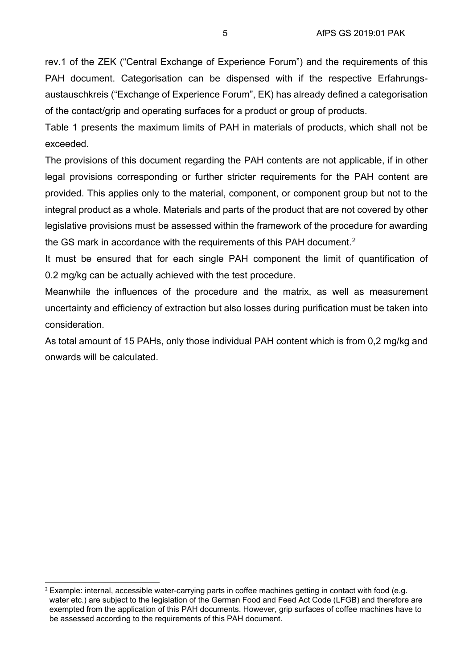rev.1 of the ZEK ("Central Exchange of Experience Forum") and the requirements of this PAH document. Categorisation can be dispensed with if the respective Erfahrungsaustauschkreis ("Exchange of Experience Forum", EK) has already defined a categorisation of the contact/grip and operating surfaces for a product or group of products.

Table 1 presents the maximum limits of PAH in materials of products, which shall not be exceeded.

The provisions of this document regarding the PAH contents are not applicable, if in other legal provisions corresponding or further stricter requirements for the PAH content are provided. This applies only to the material, component, or component group but not to the integral product as a whole. Materials and parts of the product that are not covered by other legislative provisions must be assessed within the framework of the procedure for awarding the GS mark in accordance with the requirements of this PAH document.<sup>[2](#page-4-0)</sup>

It must be ensured that for each single PAH component the limit of quantification of 0.2 mg/kg can be actually achieved with the test procedure.

Meanwhile the influences of the procedure and the matrix, as well as measurement uncertainty and efficiency of extraction but also losses during purification must be taken into consideration.

As total amount of 15 PAHs, only those individual PAH content which is from 0,2 mg/kg and onwards will be calculated.

-

<span id="page-4-0"></span><sup>&</sup>lt;sup>2</sup> Example: internal, accessible water-carrying parts in coffee machines getting in contact with food (e.g. water etc.) are subject to the legislation of the German Food and Feed Act Code (LFGB) and therefore are exempted from the application of this PAH documents. However, grip surfaces of coffee machines have to be assessed according to the requirements of this PAH document.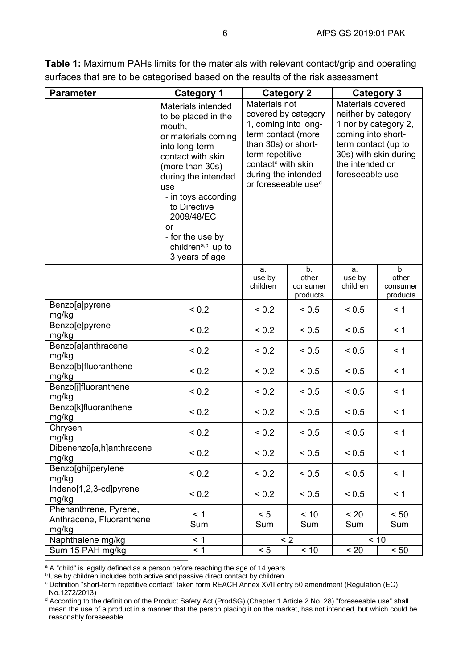**Table 1:** Maximum PAHs limits for the materials with relevant contact/grip and operating surfaces that are to be categorised based on the results of the risk assessment

| <b>Parameter</b>                                           | <b>Category 1</b>                                                                                                                                                                                                                                                                                    |                                                                                                                                                                                                                                               |                                     |                                                                                                                                                                                                   |                                     |
|------------------------------------------------------------|------------------------------------------------------------------------------------------------------------------------------------------------------------------------------------------------------------------------------------------------------------------------------------------------------|-----------------------------------------------------------------------------------------------------------------------------------------------------------------------------------------------------------------------------------------------|-------------------------------------|---------------------------------------------------------------------------------------------------------------------------------------------------------------------------------------------------|-------------------------------------|
|                                                            | Materials intended<br>to be placed in the<br>mouth,<br>or materials coming<br>into long-term<br>contact with skin<br>(more than 30s)<br>during the intended<br>use<br>- in toys according<br>to Directive<br>2009/48/EC<br>or<br>- for the use by<br>children <sup>a,b</sup> up to<br>3 years of age | <b>Category 2</b><br>Materials not<br>covered by category<br>1, coming into long-<br>term contact (more<br>than 30s) or short-<br>term repetitive<br>contact <sup>c</sup> with skin<br>during the intended<br>or foreseeable use <sup>d</sup> |                                     | <b>Category 3</b><br>Materials covered<br>neither by category<br>1 nor by category 2,<br>coming into short-<br>term contact (up to<br>30s) with skin during<br>the intended or<br>foreseeable use |                                     |
|                                                            |                                                                                                                                                                                                                                                                                                      | a.<br>use by<br>children                                                                                                                                                                                                                      | b.<br>other<br>consumer<br>products | a.<br>use by<br>children                                                                                                                                                                          | b.<br>other<br>consumer<br>products |
| Benzo[a]pyrene<br>mg/kg                                    | ${}_{0.2}$                                                                                                                                                                                                                                                                                           | ${}_{0.2}$                                                                                                                                                                                                                                    | ${}_{0.5}$                          | ${}_{0.5}$                                                                                                                                                                                        | < 1                                 |
| Benzo[e]pyrene<br>mg/kg                                    | ${}_{0.2}$                                                                                                                                                                                                                                                                                           | ${}_{0.2}$                                                                                                                                                                                                                                    | ${}_{0.5}$                          | ${}_{0.5}$                                                                                                                                                                                        | < 1                                 |
| Benzo[a]anthracene<br>mg/kg                                | ${}_{0.2}$                                                                                                                                                                                                                                                                                           | ${}_{0.2}$                                                                                                                                                                                                                                    | ${}_{0.5}$                          | ${}_{0.5}$                                                                                                                                                                                        | < 1                                 |
| Benzo[b]fluoranthene<br>mg/kg                              | ${}_{0.2}$                                                                                                                                                                                                                                                                                           | ${}_{0.2}$                                                                                                                                                                                                                                    | < 0.5                               | ${}_{0.5}$                                                                                                                                                                                        | < 1                                 |
| Benzo[j]fluoranthene<br>mg/kg                              | ${}_{0.2}$                                                                                                                                                                                                                                                                                           | ${}_{0.2}$                                                                                                                                                                                                                                    | < 0.5                               | < 0.5                                                                                                                                                                                             | < 1                                 |
| Benzo[k]fluoranthene<br>mg/kg                              | ${}_{0.2}$                                                                                                                                                                                                                                                                                           | ${}_{0.2}$                                                                                                                                                                                                                                    | ${}_{0.5}$                          | ${}_{0.5}$                                                                                                                                                                                        | < 1                                 |
| Chrysen<br>mg/kg                                           | ${}_{0.2}$                                                                                                                                                                                                                                                                                           | ${}_{0.2}$                                                                                                                                                                                                                                    | ${}_{0.5}$                          | ${}_{0.5}$                                                                                                                                                                                        | < 1                                 |
| Dibenenzo[a,h]anthracene<br>mg/kg                          | ${}_{0.2}$                                                                                                                                                                                                                                                                                           | ${}_{0.2}$                                                                                                                                                                                                                                    | < 0.5                               | ${}_{0.5}$                                                                                                                                                                                        | < 1                                 |
| Benzo[ghi]perylene<br>mg/kg                                | ${}_{0.2}$                                                                                                                                                                                                                                                                                           | ${}_{0.2}$                                                                                                                                                                                                                                    | ${}_{0.5}$                          | ${}_{0.5}$                                                                                                                                                                                        | < 1                                 |
| Indeno[1,2,3-cd]pyrene<br>mg/kg                            | ${}_{0.2}$                                                                                                                                                                                                                                                                                           | ${}_{0.2}$                                                                                                                                                                                                                                    | ${}_{0.5}$                          | ${}_{0.5}$                                                                                                                                                                                        | < 1                                 |
| Phenanthrene, Pyrene,<br>Anthracene, Fluoranthene<br>mg/kg | < 1<br>Sum                                                                                                                                                                                                                                                                                           | < 5<br>Sum                                                                                                                                                                                                                                    | < 10<br>Sum                         | < 20<br>Sum                                                                                                                                                                                       | < 50<br>Sum                         |
| Naphthalene mg/kg                                          | < 1                                                                                                                                                                                                                                                                                                  |                                                                                                                                                                                                                                               | $\leq$ 2                            |                                                                                                                                                                                                   | < 10                                |
| Sum 15 PAH mg/kg                                           | < 1                                                                                                                                                                                                                                                                                                  | < 5                                                                                                                                                                                                                                           | < 10                                | < 20                                                                                                                                                                                              | < 50                                |

<sup>a</sup> A "child" is legally defined as a person before reaching the age of 14 years.

**b** Use by children includes both active and passive direct contact by children.

<sup>c</sup> Definition "short-term repetitive contact" taken form REACH Annex XVII entry 50 amendment (Regulation (EC) No.1272/2013)

<sup>d</sup> According to the definition of the Product Safety Act (ProdSG) (Chapter 1 Article 2 No. 28) "foreseeable use" shall mean the use of a product in a manner that the person placing it on the market, has not intended, but which could be reasonably foreseeable.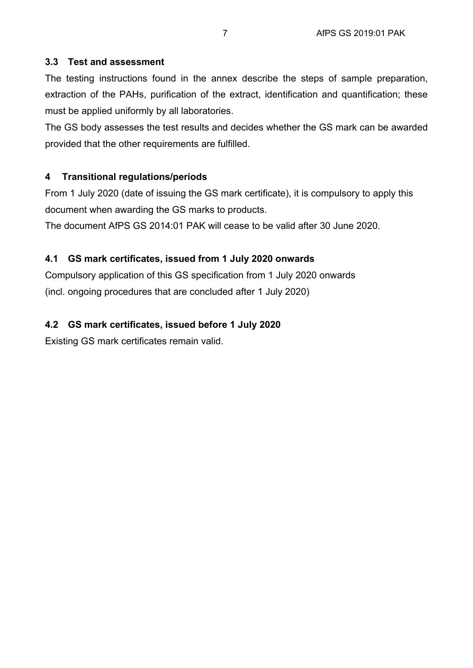#### <span id="page-6-0"></span>**3.3 Test and assessment**

The testing instructions found in the annex describe the steps of sample preparation, extraction of the PAHs, purification of the extract, identification and quantification; these must be applied uniformly by all laboratories.

The GS body assesses the test results and decides whether the GS mark can be awarded provided that the other requirements are fulfilled.

#### <span id="page-6-1"></span>**4 Transitional regulations/periods**

From 1 July 2020 (date of issuing the GS mark certificate), it is compulsory to apply this document when awarding the GS marks to products.

The document AfPS GS 2014:01 PAK will cease to be valid after 30 June 2020.

#### <span id="page-6-2"></span>**4.1 GS mark certificates, issued from 1 July 2020 onwards**

Compulsory application of this GS specification from 1 July 2020 onwards (incl. ongoing procedures that are concluded after 1 July 2020)

#### <span id="page-6-3"></span>**4.2 GS mark certificates, issued before 1 July 2020**

Existing GS mark certificates remain valid.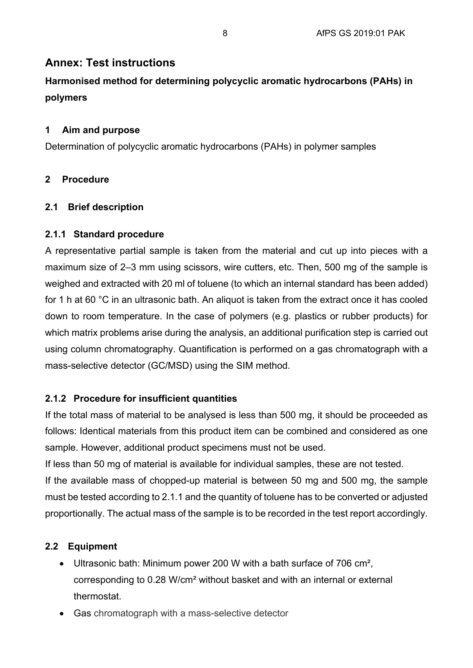#### **Annex: Test instructions**

**Harmonised method for determining polycyclic aromatic hydrocarbons (PAHs) in polymers**

#### <span id="page-7-0"></span>**1 Aim and purpose**

Determination of polycyclic aromatic hydrocarbons (PAHs) in polymer samples

#### <span id="page-7-1"></span>**2 Procedure**

#### <span id="page-7-2"></span>**2.1 Brief description**

#### **2.1.1 Standard procedure**

A representative partial sample is taken from the material and cut up into pieces with a maximum size of 2–3 mm using scissors, wire cutters, etc. Then, 500 mg of the sample is weighed and extracted with 20 ml of toluene (to which an internal standard has been added) for 1 h at 60 °C in an ultrasonic bath. An aliquot is taken from the extract once it has cooled down to room temperature. In the case of polymers (e.g. plastics or rubber products) for which matrix problems arise during the analysis, an additional purification step is carried out using column chromatography. Quantification is performed on a gas chromatograph with a mass-selective detector (GC/MSD) using the SIM method.

#### **2.1.2 Procedure for insufficient quantities**

If the total mass of material to be analysed is less than 500 mg, it should be proceeded as follows: Identical materials from this product item can be combined and considered as one sample. However, additional product specimens must not be used.

If less than 50 mg of material is available for individual samples, these are not tested. If the available mass of chopped-up material is between 50 mg and 500 mg, the sample must be tested according to 2.1.1 and the quantity of toluene has to be converted or adjusted proportionally. The actual mass of the sample is to be recorded in the test report accordingly.

#### <span id="page-7-3"></span>**2.2 Equipment**

- Ultrasonic bath: Minimum power 200 W with a bath surface of 706 cm<sup>2</sup>, corresponding to 0.28 W/cm² without basket and with an internal or external thermostat.
- Gas chromatograph with a mass-selective detector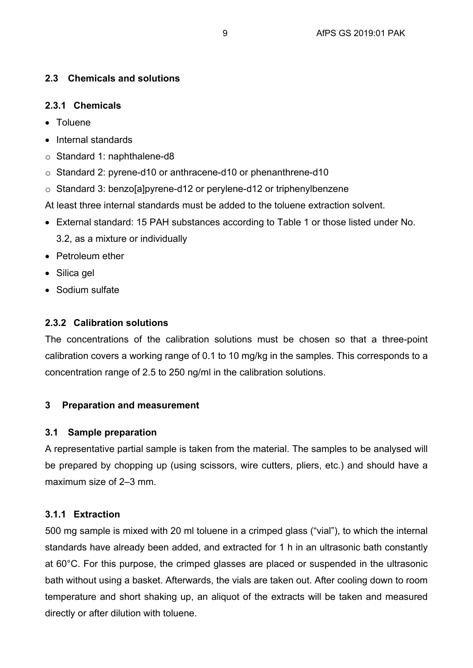#### <span id="page-8-0"></span>**2.3 Chemicals and solutions**

#### **2.3.1 Chemicals**

- Toluene
- Internal standards
- o Standard 1: naphthalene-d8
- o Standard 2: pyrene-d10 or anthracene-d10 or phenanthrene-d10
- o Standard 3: benzo[a]pyrene-d12 or perylene-d12 or triphenylbenzene

At least three internal standards must be added to the toluene extraction solvent.

- External standard: 15 PAH substances according to Table 1 or those listed under No. 3.2, as a mixture or individually
- Petroleum ether
- Silica gel
- Sodium sulfate

#### **2.3.2 Calibration solutions**

The concentrations of the calibration solutions must be chosen so that a three-point calibration covers a working range of 0.1 to 10 mg/kg in the samples. This corresponds to a concentration range of 2.5 to 250 ng/ml in the calibration solutions.

#### <span id="page-8-1"></span>**3 Preparation and measurement**

#### <span id="page-8-2"></span>**3.1 Sample preparation**

A representative partial sample is taken from the material. The samples to be analysed will be prepared by chopping up (using scissors, wire cutters, pliers, etc.) and should have a maximum size of 2–3 mm.

#### **3.1.1 Extraction**

500 mg sample is mixed with 20 ml toluene in a crimped glass ("vial"), to which the internal standards have already been added, and extracted for 1 h in an ultrasonic bath constantly at 60°C. For this purpose, the crimped glasses are placed or suspended in the ultrasonic bath without using a basket. Afterwards, the vials are taken out. After cooling down to room temperature and short shaking up, an aliquot of the extracts will be taken and measured directly or after dilution with toluene.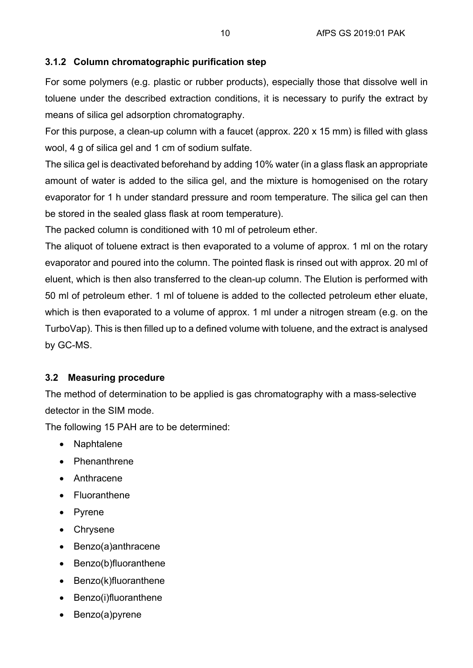#### **3.1.2 Column chromatographic purification step**

For some polymers (e.g. plastic or rubber products), especially those that dissolve well in toluene under the described extraction conditions, it is necessary to purify the extract by means of silica gel adsorption chromatography.

For this purpose, a clean-up column with a faucet (approx. 220 x 15 mm) is filled with glass wool, 4 g of silica gel and 1 cm of sodium sulfate.

The silica gel is deactivated beforehand by adding 10% water (in a glass flask an appropriate amount of water is added to the silica gel, and the mixture is homogenised on the rotary evaporator for 1 h under standard pressure and room temperature. The silica gel can then be stored in the sealed glass flask at room temperature).

The packed column is conditioned with 10 ml of petroleum ether.

The aliquot of toluene extract is then evaporated to a volume of approx. 1 ml on the rotary evaporator and poured into the column. The pointed flask is rinsed out with approx. 20 ml of eluent, which is then also transferred to the clean-up column. The Elution is performed with 50 ml of petroleum ether. 1 ml of toluene is added to the collected petroleum ether eluate, which is then evaporated to a volume of approx. 1 ml under a nitrogen stream (e.g. on the TurboVap). This is then filled up to a defined volume with toluene, and the extract is analysed by GC-MS.

#### <span id="page-9-0"></span>**3.2 Measuring procedure**

The method of determination to be applied is gas chromatography with a mass-selective detector in the SIM mode.

The following 15 PAH are to be determined:

- Naphtalene
- Phenanthrene
- Anthracene
- Fluoranthene
- Pyrene
- Chrysene
- Benzo(a)anthracene
- Benzo(b)fluoranthene
- Benzo(k)fluoranthene
- Benzo(i)fluoranthene
- Benzo(a)pyrene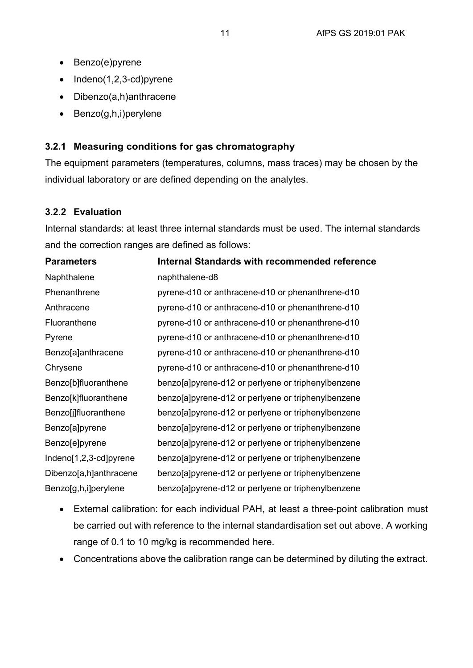- Benzo(e)pyrene
- Indeno(1,2,3-cd)pyrene
- Dibenzo(a,h)anthracene
- Benzo(g,h,i)perylene

#### **3.2.1 Measuring conditions for gas chromatography**

The equipment parameters (temperatures, columns, mass traces) may be chosen by the individual laboratory or are defined depending on the analytes.

#### **3.2.2 Evaluation**

Internal standards: at least three internal standards must be used. The internal standards and the correction ranges are defined as follows:

| <b>Parameters</b>      | <b>Internal Standards with recommended reference</b> |
|------------------------|------------------------------------------------------|
| Naphthalene            | naphthalene-d8                                       |
| Phenanthrene           | pyrene-d10 or anthracene-d10 or phenanthrene-d10     |
| Anthracene             | pyrene-d10 or anthracene-d10 or phenanthrene-d10     |
| Fluoranthene           | pyrene-d10 or anthracene-d10 or phenanthrene-d10     |
| Pyrene                 | pyrene-d10 or anthracene-d10 or phenanthrene-d10     |
| Benzo[a]anthracene     | pyrene-d10 or anthracene-d10 or phenanthrene-d10     |
| Chrysene               | pyrene-d10 or anthracene-d10 or phenanthrene-d10     |
| Benzo[b]fluoranthene   | benzo[a]pyrene-d12 or perlyene or triphenylbenzene   |
| Benzo[k]fluoranthene   | benzo[a]pyrene-d12 or perlyene or triphenylbenzene   |
| Benzo[j]fluoranthene   | benzo[a]pyrene-d12 or perlyene or triphenylbenzene   |
| Benzo[a]pyrene         | benzo[a]pyrene-d12 or perlyene or triphenylbenzene   |
| Benzo[e]pyrene         | benzo[a]pyrene-d12 or perlyene or triphenylbenzene   |
| Indeno[1,2,3-cd]pyrene | benzo[a]pyrene-d12 or perlyene or triphenylbenzene   |
| Dibenzo[a,h]anthracene | benzo[a]pyrene-d12 or perlyene or triphenylbenzene   |
| Benzo[g,h,i]perylene   | benzo[a]pyrene-d12 or perlyene or triphenylbenzene   |
|                        |                                                      |

- External calibration: for each individual PAH, at least a three-point calibration must be carried out with reference to the internal standardisation set out above. A working range of 0.1 to 10 mg/kg is recommended here.
- Concentrations above the calibration range can be determined by diluting the extract.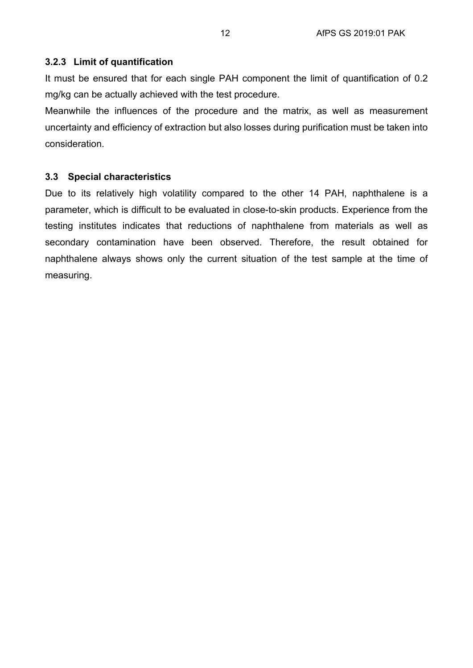#### **3.2.3 Limit of quantification**

It must be ensured that for each single PAH component the limit of quantification of 0.2 mg/kg can be actually achieved with the test procedure.

Meanwhile the influences of the procedure and the matrix, as well as measurement uncertainty and efficiency of extraction but also losses during purification must be taken into consideration.

#### <span id="page-11-0"></span>**3.3 Special characteristics**

Due to its relatively high volatility compared to the other 14 PAH, naphthalene is a parameter, which is difficult to be evaluated in close-to-skin products. Experience from the testing institutes indicates that reductions of naphthalene from materials as well as secondary contamination have been observed. Therefore, the result obtained for naphthalene always shows only the current situation of the test sample at the time of measuring.